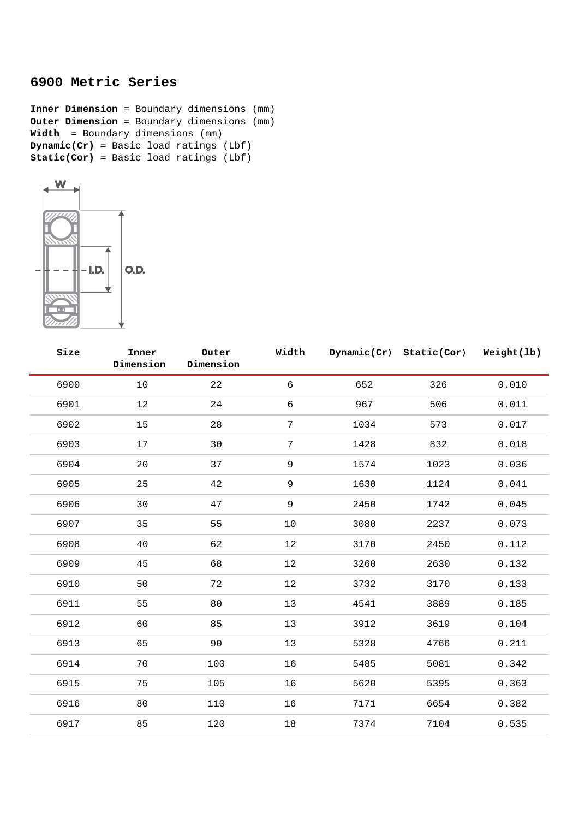## **6900 Metric Series**

**Inner Dimension** = Boundary dimensions (mm) **Outer Dimension** = Boundary dimensions (mm) **Width** = Boundary dimensions (mm) **Dynamic(Cr)** = Basic load ratings (Lbf) **Static(Cor)** = Basic load ratings (Lbf)



| Size | Inner<br>Dimension | Outer<br>Dimension | Width           |      | Dynamic(Cr) Static(Cor) | Weight(lb) |
|------|--------------------|--------------------|-----------------|------|-------------------------|------------|
| 6900 | $10$               | 22                 | $6\phantom{.}6$ | 652  | 326                     | 0.010      |
| 6901 | 12                 | 24                 | $\sqrt{6}$      | 967  | 506                     | 0.011      |
| 6902 | 15                 | 28                 | $\overline{7}$  | 1034 | 573                     | 0.017      |
| 6903 | 17                 | 30                 | $7\phantom{.}$  | 1428 | 832                     | 0.018      |
| 6904 | 20                 | 37                 | 9               | 1574 | 1023                    | 0.036      |
| 6905 | 25                 | $4\sqrt{2}$        | 9               | 1630 | 1124                    | 0.041      |
| 6906 | 30                 | 47                 | 9               | 2450 | 1742                    | 0.045      |
| 6907 | 35                 | 55                 | 10              | 3080 | 2237                    | 0.073      |
| 6908 | 40                 | 62                 | 12              | 3170 | 2450                    | 0.112      |
| 6909 | 45                 | 68                 | 12              | 3260 | 2630                    | 0.132      |
| 6910 | 50                 | 72                 | $12$            | 3732 | 3170                    | 0.133      |
| 6911 | 55                 | 80                 | 13              | 4541 | 3889                    | 0.185      |
| 6912 | 60                 | 85                 | 13              | 3912 | 3619                    | 0.104      |
| 6913 | 65                 | 90                 | 13              | 5328 | 4766                    | 0.211      |
| 6914 | 70                 | 100                | 16              | 5485 | 5081                    | 0.342      |
| 6915 | 75                 | 105                | 16              | 5620 | 5395                    | 0.363      |
| 6916 | 80                 | 110                | 16              | 7171 | 6654                    | 0.382      |
| 6917 | 85                 | 120                | $18\,$          | 7374 | 7104                    | 0.535      |